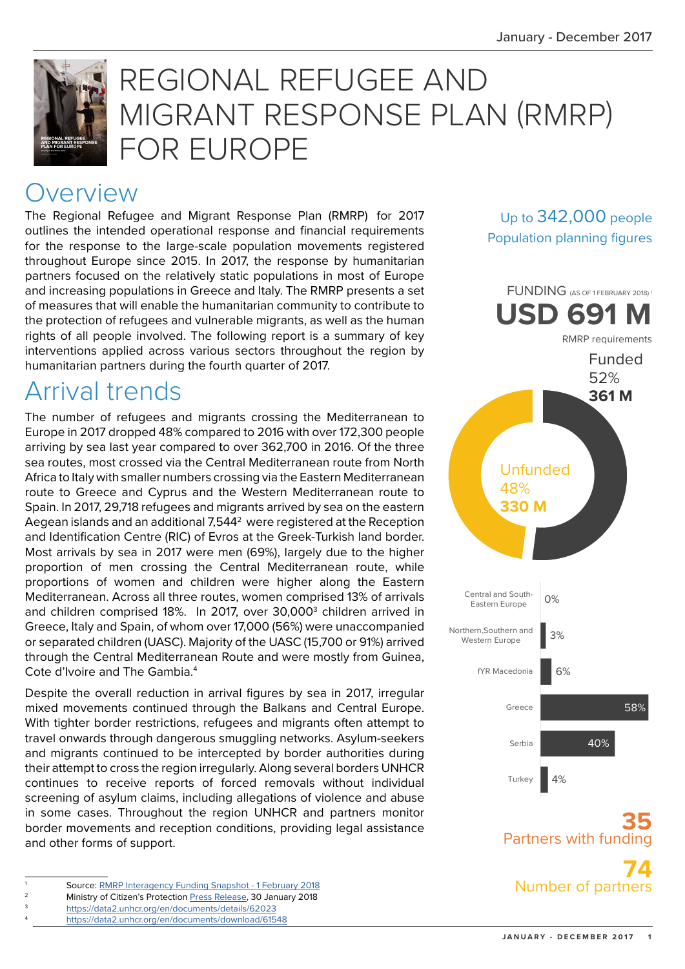Up to 342,000 people Population planning figures



# REGIONAL REFUGEE AND MIGRANT RESPONSE PLAN (RMRP) FOR EUROPE

## **Overview**

The Regional Refugee and Migrant Response Plan (RMRP) for 2017 outlines the intended operational response and financial requirements for the response to the large-scale population movements registered throughout Europe since 2015. In 2017, the response by humanitarian partners focused on the relatively static populations in most of Europe and increasing populations in Greece and Italy. The RMRP presents a set of measures that will enable the humanitarian community to contribute to the protection of refugees and vulnerable migrants, as well as the human rights of all people involved. The following report is a summary of key interventions applied across various sectors throughout the region by humanitarian partners during the fourth quarter of 2017.

## Arrival trends

The number of refugees and migrants crossing the Mediterranean to Europe in 2017 dropped 48% compared to 2016 with over 172,300 people arriving by sea last year compared to over 362,700 in 2016. Of the three sea routes, most crossed via the Central Mediterranean route from North Africa to Italy with smaller numbers crossing via the Eastern Mediterranean route to Greece and Cyprus and the Western Mediterranean route to Spain. In 2017, 29,718 refugees and migrants arrived by sea on the eastern Aegean islands and an additional 7,5442 were registered at the Reception and Identification Centre (RIC) of Evros at the Greek-Turkish land border. Most arrivals by sea in 2017 were men (69%), largely due to the higher proportion of men crossing the Central Mediterranean route, while proportions of women and children were higher along the Eastern Mediterranean. Across all three routes, women comprised 13% of arrivals and children comprised 18%. In 2017, over 30,000<sup>3</sup> children arrived in Greece, Italy and Spain, of whom over 17,000 (56%) were unaccompanied or separated children (UASC). Majority of the UASC (15,700 or 91%) arrived through the Central Mediterranean Route and were mostly from Guinea, Cote d'Ivoire and The Gambia.<sup>4</sup>

Despite the overall reduction in arrival figures by sea in 2017, irregular mixed movements continued through the Balkans and Central Europe. With tighter border restrictions, refugees and migrants often attempt to travel onwards through dangerous smuggling networks. Asylum-seekers and migrants continued to be intercepted by border authorities during their attempt to cross the region irregularly. Along several borders UNHCR continues to receive reports of forced removals without individual screening of asylum claims, including allegations of violence and abuse in some cases. Throughout the region UNHCR and partners monitor border movements and reception conditions, providing legal assistance and other forms of support.

<https://data2.unhcr.org/en/documents/download/61548>





**35** Partners with fur

**74** Number of partne

Source: [RMRP Interagency Funding Snapshot - 1 February 2018](https://data2.unhcr.org/en/documents/details/61777)

Ministry of Citizen's Protection [Press Release](http://www.mopocp.gov.gr/index.php?option=ozo_content&perform=view&id=6306&Itemid=653&lang), 30 January 2018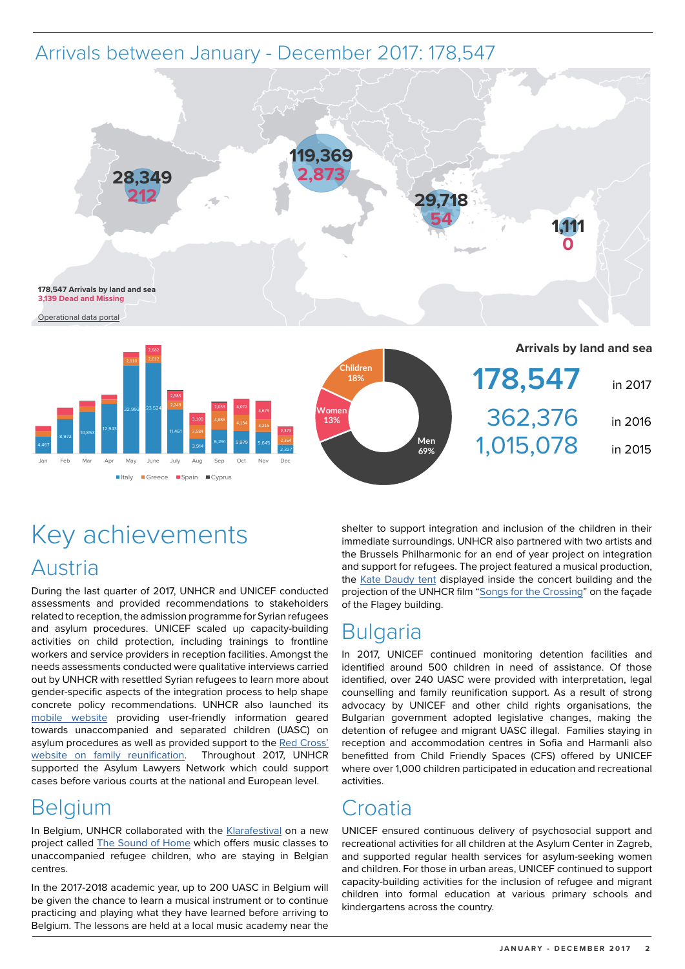#### Arrivals between January - December 2017: 178,547



## Key achievements Austria

■Italy Greece Boain Cyprus

During the last quarter of 2017, UNHCR and UNICEF conducted assessments and provided recommendations to stakeholders related to reception, the admission programme for Syrian refugees and asylum procedures. UNICEF scaled up capacity-building activities on child protection, including trainings to frontline workers and service providers in reception facilities. Amongst the needs assessments conducted were qualitative interviews carried out by UNHCR with resettled Syrian refugees to learn more about gender-specific aspects of the integration process to help shape concrete policy recommendations. UNHCR also launched its [mobile website](http://deinasylverfahren.at/en/) providing user-friendly information geared towards unaccompanied and separated children (UASC) on asylum procedures as well as provided support to the [Red Cross'](http://meinefamilie.roteskreuz.at/en/)  [website on family reunification](http://meinefamilie.roteskreuz.at/en/). Throughout 2017, UNHCR supported the Asylum Lawyers Network which could support cases before various courts at the national and European level.

## **Belgium**

In Belgium, UNHCR collaborated with the [Klarafestival](https://klarafestival.be/en) on a new project called [The Sound of Home](http://soundofhome.be/?lang=en) which offers music classes to unaccompanied refugee children, who are staying in Belgian centres.

In the 2017-2018 academic year, up to 200 UASC in Belgium will be given the chance to learn a musical instrument or to continue practicing and playing what they have learned before arriving to Belgium. The lessons are held at a local music academy near the

shelter to support integration and inclusion of the children in their immediate surroundings. UNHCR also partnered with two artists and the Brussels Philharmonic for an end of year project on integration and support for refugees. The project featured a musical production, the [Kate Daudy tent](http://www.unhcr.org/news/latest/2017/9/599190f44/kate-daudy.html) displayed inside the concert building and the projection of the UNHCR film "[Songs for the Crossing"](https://www.youtube.com/watch?v=jzeW7Lq73DA) on the façade of the Flagey building.

#### **Bulgaria**

In 2017, UNICEF continued monitoring detention facilities and identified around 500 children in need of assistance. Of those identified, over 240 UASC were provided with interpretation, legal counselling and family reunification support. As a result of strong advocacy by UNICEF and other child rights organisations, the Bulgarian government adopted legislative changes, making the detention of refugee and migrant UASC illegal. Families staying in reception and accommodation centres in Sofia and Harmanli also benefitted from Child Friendly Spaces (CFS) offered by UNICEF where over 1,000 children participated in education and recreational activities.

#### Croatia

UNICEF ensured continuous delivery of psychosocial support and recreational activities for all children at the Asylum Center in Zagreb, and supported regular health services for asylum-seeking women and children. For those in urban areas, UNICEF continued to support capacity-building activities for the inclusion of refugee and migrant children into formal education at various primary schools and kindergartens across the country.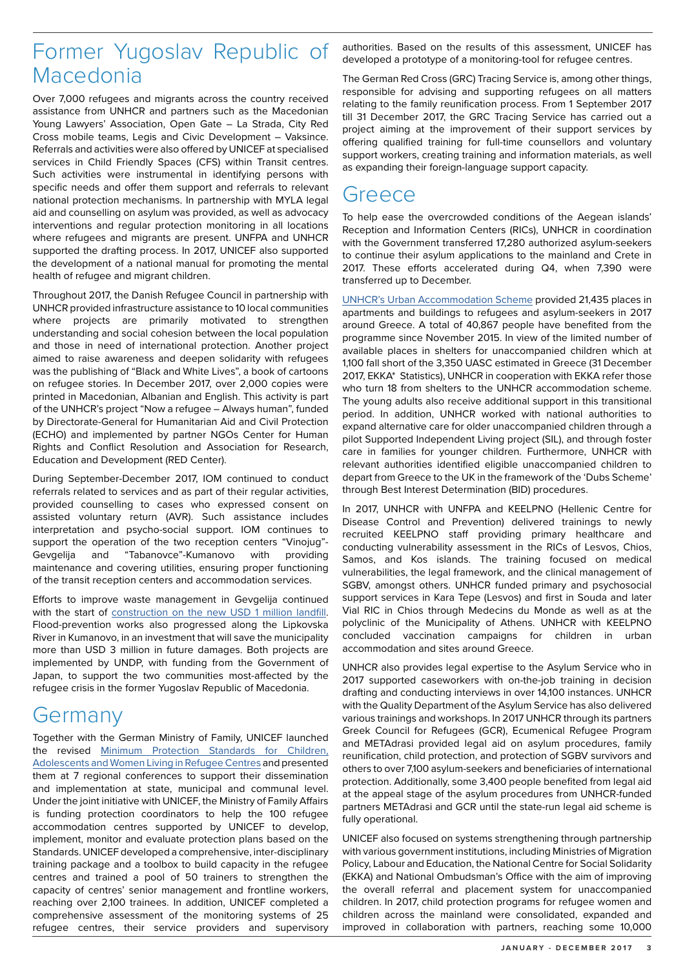#### Former Yugoslav Republic of Macedonia

Over 7,000 refugees and migrants across the country received assistance from UNHCR and partners such as the Macedonian Young Lawyers' Association, Open Gate – La Strada, City Red Cross mobile teams, Legis and Civic Development – Vaksince. Referrals and activities were also offered by UNICEF at specialised services in Child Friendly Spaces (CFS) within Transit centres. Such activities were instrumental in identifying persons with specific needs and offer them support and referrals to relevant national protection mechanisms. In partnership with MYLA legal aid and counselling on asylum was provided, as well as advocacy interventions and regular protection monitoring in all locations where refugees and migrants are present. UNFPA and UNHCR supported the drafting process. In 2017, UNICEF also supported the development of a national manual for promoting the mental health of refugee and migrant children.

Throughout 2017, the Danish Refugee Council in partnership with UNHCR provided infrastructure assistance to 10 local communities where projects are primarily motivated to strengthen understanding and social cohesion between the local population and those in need of international protection. Another project aimed to raise awareness and deepen solidarity with refugees was the publishing of "Black and White Lives", a book of cartoons on refugee stories. In December 2017, over 2,000 copies were printed in Macedonian, Albanian and English. This activity is part of the UNHCR's project "Now a refugee – Always human", funded by Directorate-General for Humanitarian Aid and Civil Protection (ECHO) and implemented by partner NGOs Center for Human Rights and Conflict Resolution and Association for Research, Education and Development (RED Center).

During September-December 2017, IOM continued to conduct referrals related to services and as part of their regular activities, provided counselling to cases who expressed consent on assisted voluntary return (AVR). Such assistance includes interpretation and psycho-social support. IOM continues to support the operation of the two reception centers "Vinojug"- Gevgelija and "Tabanovce"-Kumanovo with providing maintenance and covering utilities, ensuring proper functioning of the transit reception centers and accommodation services.

Efforts to improve waste management in Gevgelija continued with the start of [construction on the new USD 1 million landfill](https://twitter.com/UNDPMK/status/958730250460041216). Flood-prevention works also progressed along the Lipkovska River in Kumanovo, in an investment that will save the municipality more than USD 3 million in future damages. Both projects are implemented by UNDP, with funding from the Government of Japan, to support the two communities most-affected by the refugee crisis in the former Yugoslav Republic of Macedonia.

#### Germany

Together with the German Ministry of Family, UNICEF launched the revised [Minimum Protection Standards for Children,](https://www.unicef.de/informieren/materialien/minimum-protection-standarts/157828)  [Adolescents and Women Living in Refugee Centres](https://www.unicef.de/informieren/materialien/minimum-protection-standarts/157828) and presented them at 7 regional conferences to support their dissemination and implementation at state, municipal and communal level. Under the joint initiative with UNICEF, the Ministry of Family Affairs is funding protection coordinators to help the 100 refugee accommodation centres supported by UNICEF to develop, implement, monitor and evaluate protection plans based on the Standards. UNICEF developed a comprehensive, inter-disciplinary training package and a toolbox to build capacity in the refugee centres and trained a pool of 50 trainers to strengthen the capacity of centres' senior management and frontline workers, reaching over 2,100 trainees. In addition, UNICEF completed a comprehensive assessment of the monitoring systems of 25 refugee centres, their service providers and supervisory

authorities. Based on the results of this assessment, UNICEF has developed a prototype of a monitoring-tool for refugee centres.

The German Red Cross (GRC) Tracing Service is, among other things, responsible for advising and supporting refugees on all matters relating to the family reunification process. From 1 September 2017 till 31 December 2017, the GRC Tracing Service has carried out a project aiming at the improvement of their support services by offering qualified training for full-time counsellors and voluntary support workers, creating training and information materials, as well as expanding their foreign-language support capacity.

#### Greece

To help ease the overcrowded conditions of the Aegean islands' Reception and Information Centers (RICs), UNHCR in coordination with the Government transferred 17,280 authorized asylum-seekers to continue their asylum applications to the mainland and Crete in 2017. These efforts accelerated during Q4, when 7,390 were transferred up to December.

[UNHCR's Urban Accommodation Scheme](https://data2.unhcr.org/en/documents/details/61541) provided 21,435 places in apartments and buildings to refugees and asylum-seekers in 2017 around Greece. A total of 40,867 people have benefited from the programme since November 2015. In view of the limited number of available places in shelters for unaccompanied children which at 1,100 fall short of the 3,350 UASC estimated in Greece (31 December 2017, EKKA\* Statistics), UNHCR in cooperation with EKKA refer those who turn 18 from shelters to the UNHCR accommodation scheme. The young adults also receive additional support in this transitional period. In addition, UNHCR worked with national authorities to expand alternative care for older unaccompanied children through a pilot Supported Independent Living project (SIL), and through foster care in families for younger children. Furthermore, UNHCR with relevant authorities identified eligible unaccompanied children to depart from Greece to the UK in the framework of the 'Dubs Scheme' through Best Interest Determination (BID) procedures.

In 2017, UNHCR with UNFPA and KEELPNO (Hellenic Centre for Disease Control and Prevention) delivered trainings to newly recruited KEELPNO staff providing primary healthcare and conducting vulnerability assessment in the RICs of Lesvos, Chios, Samos, and Kos islands. The training focused on medical vulnerabilities, the legal framework, and the clinical management of SGBV, amongst others. UNHCR funded primary and psychosocial support services in Kara Tepe (Lesvos) and first in Souda and later Vial RIC in Chios through Medecins du Monde as well as at the polyclinic of the Municipality of Athens. UNHCR with KEELPNO concluded vaccination campaigns for children in urban accommodation and sites around Greece.

UNHCR also provides legal expertise to the Asylum Service who in 2017 supported caseworkers with on-the-job training in decision drafting and conducting interviews in over 14,100 instances. UNHCR with the Quality Department of the Asylum Service has also delivered various trainings and workshops. In 2017 UNHCR through its partners Greek Council for Refugees (GCR), Ecumenical Refugee Program and METAdrasi provided legal aid on asylum procedures, family reunification, child protection, and protection of SGBV survivors and others to over 7,100 asylum-seekers and beneficiaries of international protection. Additionally, some 3,400 people benefited from legal aid at the appeal stage of the asylum procedures from UNHCR-funded partners METAdrasi and GCR until the state-run legal aid scheme is fully operational.

UNICEF also focused on systems strengthening through partnership with various government institutions, including Ministries of Migration Policy, Labour and Education, the National Centre for Social Solidarity (EKKA) and National Ombudsman's Office with the aim of improving the overall referral and placement system for unaccompanied children. In 2017, child protection programs for refugee women and children across the mainland were consolidated, expanded and improved in collaboration with partners, reaching some 10,000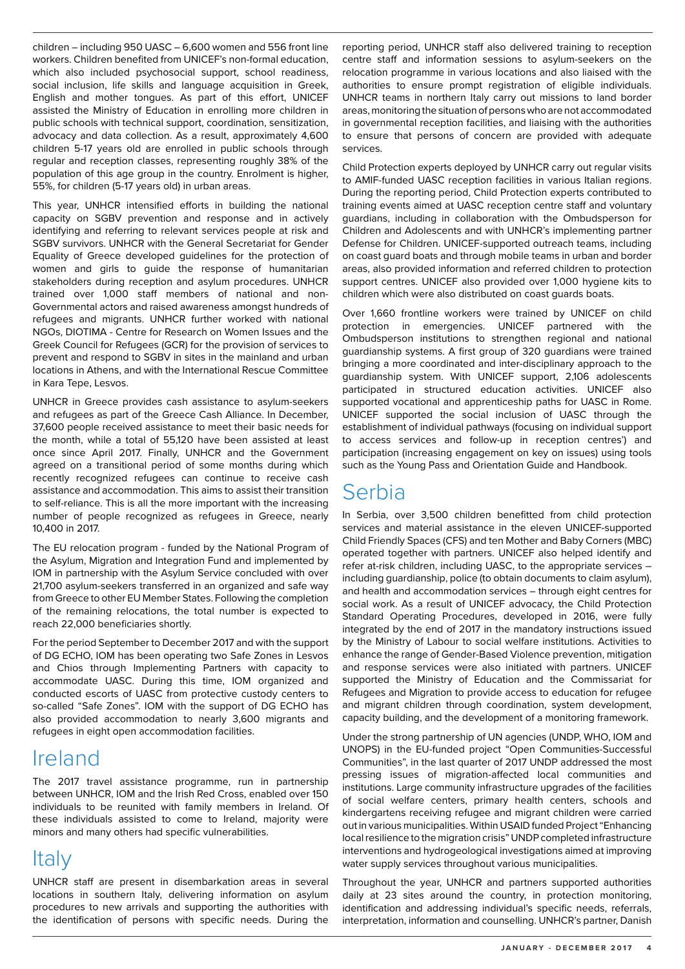children – including 950 UASC – 6,600 women and 556 front line workers. Children benefited from UNICEF's non-formal education, which also included psychosocial support, school readiness, social inclusion, life skills and language acquisition in Greek, English and mother tongues. As part of this effort, UNICEF assisted the Ministry of Education in enrolling more children in public schools with technical support, coordination, sensitization, advocacy and data collection. As a result, approximately 4,600 children 5-17 years old are enrolled in public schools through regular and reception classes, representing roughly 38% of the population of this age group in the country. Enrolment is higher, 55%, for children (5-17 years old) in urban areas.

This year, UNHCR intensified efforts in building the national capacity on SGBV prevention and response and in actively identifying and referring to relevant services people at risk and SGBV survivors. UNHCR with the General Secretariat for Gender Equality of Greece developed guidelines for the protection of women and girls to guide the response of humanitarian stakeholders during reception and asylum procedures. UNHCR trained over 1,000 staff members of national and non-Governmental actors and raised awareness amongst hundreds of refugees and migrants. UNHCR further worked with national NGOs, DIOTIMA - Centre for Research on Women Issues and the Greek Council for Refugees (GCR) for the provision of services to prevent and respond to SGBV in sites in the mainland and urban locations in Athens, and with the International Rescue Committee in Kara Tepe, Lesvos.

UNHCR in Greece provides cash assistance to asylum-seekers and refugees as part of the Greece Cash Alliance. In December, 37,600 people received assistance to meet their basic needs for the month, while a total of 55,120 have been assisted at least once since April 2017. Finally, UNHCR and the Government agreed on a transitional period of some months during which recently recognized refugees can continue to receive cash assistance and accommodation. This aims to assist their transition to self-reliance. This is all the more important with the increasing number of people recognized as refugees in Greece, nearly 10,400 in 2017.

The EU relocation program - funded by the National Program of the Asylum, Migration and Integration Fund and implemented by IOM in partnership with the Asylum Service concluded with over 21,700 asylum-seekers transferred in an organized and safe way from Greece to other EU Member States. Following the completion of the remaining relocations, the total number is expected to reach 22,000 beneficiaries shortly.

For the period September to December 2017 and with the support of DG ECHO, IOM has been operating two Safe Zones in Lesvos and Chios through Implementing Partners with capacity to accommodate UASC. During this time, IOM organized and conducted escorts of UASC from protective custody centers to so-called "Safe Zones". IOM with the support of DG ECHO has also provided accommodation to nearly 3,600 migrants and refugees in eight open accommodation facilities.

#### Ireland

The 2017 travel assistance programme, run in partnership between UNHCR, IOM and the Irish Red Cross, enabled over 150 individuals to be reunited with family members in Ireland. Of these individuals assisted to come to Ireland, majority were minors and many others had specific vulnerabilities.

### Italy

UNHCR staff are present in disembarkation areas in several locations in southern Italy, delivering information on asylum procedures to new arrivals and supporting the authorities with the identification of persons with specific needs. During the

reporting period, UNHCR staff also delivered training to reception centre staff and information sessions to asylum-seekers on the relocation programme in various locations and also liaised with the authorities to ensure prompt registration of eligible individuals. UNHCR teams in northern Italy carry out missions to land border areas, monitoring the situation of persons who are not accommodated in governmental reception facilities, and liaising with the authorities to ensure that persons of concern are provided with adequate services.

Child Protection experts deployed by UNHCR carry out regular visits to AMIF-funded UASC reception facilities in various Italian regions. During the reporting period, Child Protection experts contributed to training events aimed at UASC reception centre staff and voluntary guardians, including in collaboration with the Ombudsperson for Children and Adolescents and with UNHCR's implementing partner Defense for Children. UNICEF-supported outreach teams, including on coast guard boats and through mobile teams in urban and border areas, also provided information and referred children to protection support centres. UNICEF also provided over 1,000 hygiene kits to children which were also distributed on coast guards boats.

Over 1,660 frontline workers were trained by UNICEF on child protection in emergencies. UNICEF partnered with the Ombudsperson institutions to strengthen regional and national guardianship systems. A first group of 320 guardians were trained bringing a more coordinated and inter-disciplinary approach to the guardianship system. With UNICEF support, 2,106 adolescents participated in structured education activities. UNICEF also supported vocational and apprenticeship paths for UASC in Rome. UNICEF supported the social inclusion of UASC through the establishment of individual pathways (focusing on individual support to access services and follow-up in reception centres') and participation (increasing engagement on key on issues) using tools such as the Young Pass and Orientation Guide and Handbook.

#### Serbia

In Serbia, over 3,500 children benefitted from child protection services and material assistance in the eleven UNICEF-supported Child Friendly Spaces (CFS) and ten Mother and Baby Corners (MBC) operated together with partners. UNICEF also helped identify and refer at-risk children, including UASC, to the appropriate services – including guardianship, police (to obtain documents to claim asylum), and health and accommodation services – through eight centres for social work. As a result of UNICEF advocacy, the Child Protection Standard Operating Procedures, developed in 2016, were fully integrated by the end of 2017 in the mandatory instructions issued by the Ministry of Labour to social welfare institutions. Activities to enhance the range of Gender-Based Violence prevention, mitigation and response services were also initiated with partners. UNICEF supported the Ministry of Education and the Commissariat for Refugees and Migration to provide access to education for refugee and migrant children through coordination, system development, capacity building, and the development of a monitoring framework.

Under the strong partnership of UN agencies (UNDP, WHO, IOM and UNOPS) in the EU-funded project "Open Communities-Successful Communities", in the last quarter of 2017 UNDP addressed the most pressing issues of migration-affected local communities and institutions. Large community infrastructure upgrades of the facilities of social welfare centers, primary health centers, schools and kindergartens receiving refugee and migrant children were carried out in various municipalities. Within USAID funded Project "Enhancing local resilience to the migration crisis" UNDP completed infrastructure interventions and hydrogeological investigations aimed at improving water supply services throughout various municipalities.

Throughout the year, UNHCR and partners supported authorities daily at 23 sites around the country, in protection monitoring, identification and addressing individual's specific needs, referrals, interpretation, information and counselling. UNHCR's partner, Danish